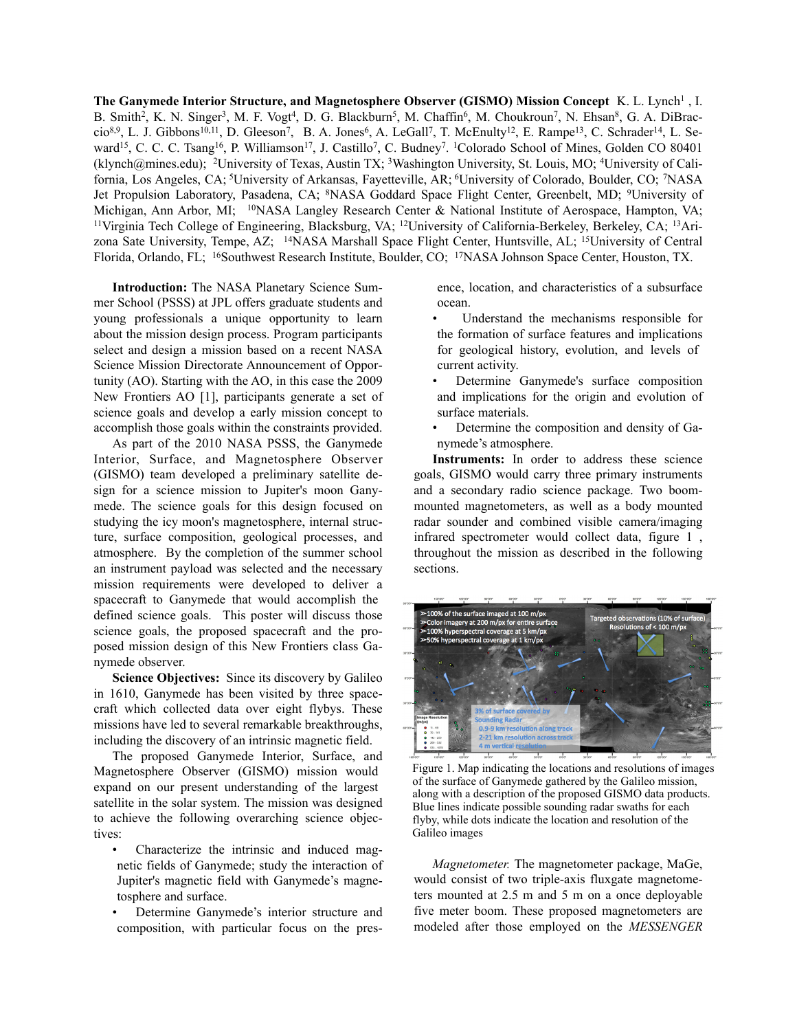The Ganymede Interior Structure, and Magnetosphere Observer (GISMO) Mission Concept K. L. Lynch<sup>1</sup>, I. B. Smith<sup>2</sup>, K. N. Singer<sup>3</sup>, M. F. Vogt<sup>4</sup>, D. G. Blackburn<sup>5</sup>, M. Chaffin<sup>6</sup>, M. Choukroun<sup>7</sup>, N. Ehsan<sup>8</sup>, G. A. DiBraccio<sup>8,9</sup>, L. J. Gibbons<sup>10,11</sup>, D. Gleeson<sup>7</sup>, B. A. Jones<sup>6</sup>, A. LeGall<sup>7</sup>, T. McEnulty<sup>12</sup>, E. Rampe<sup>13</sup>, C. Schrader<sup>14</sup>, L. Seward<sup>15</sup>, C. C. C. Tsang<sup>16</sup>, P. Williamson<sup>17</sup>, J. Castillo<sup>7</sup>, C. Budney<sup>7</sup>. <sup>1</sup>Colorado School of Mines, Golden CO 80401 (klynch@mines.edu); 2University of Texas, Austin TX; 3Washington University, St. Louis, MO; 4University of California, Los Angeles, CA; 5University of Arkansas, Fayetteville, AR; 6University of Colorado, Boulder, CO; 7NASA Jet Propulsion Laboratory, Pasadena, CA; <sup>8</sup>NASA Goddard Space Flight Center, Greenbelt, MD; <sup>9</sup>University of Michigan, Ann Arbor, MI; <sup>10</sup>NASA Langley Research Center & National Institute of Aerospace, Hampton, VA; 11Virginia Tech College of Engineering, Blacksburg, VA; 12University of California-Berkeley, Berkeley, CA; 13Arizona Sate University, Tempe, AZ; 14NASA Marshall Space Flight Center, Huntsville, AL; 15University of Central Florida, Orlando, FL; 16Southwest Research Institute, Boulder, CO; 17NASA Johnson Space Center, Houston, TX.

**Introduction:** The NASA Planetary Science Summer School (PSSS) at JPL offers graduate students and young professionals a unique opportunity to learn about the mission design process. Program participants select and design a mission based on a recent NASA Science Mission Directorate Announcement of Opportunity (AO). Starting with the AO, in this case the 2009 New Frontiers AO [1], participants generate a set of science goals and develop a early mission concept to accomplish those goals within the constraints provided.

As part of the 2010 NASA PSSS, the Ganymede Interior, Surface, and Magnetosphere Observer (GISMO) team developed a preliminary satellite design for a science mission to Jupiter's moon Ganymede. The science goals for this design focused on studying the icy moon's magnetosphere, internal structure, surface composition, geological processes, and atmosphere. By the completion of the summer school an instrument payload was selected and the necessary mission requirements were developed to deliver a spacecraft to Ganymede that would accomplish the defined science goals. This poster will discuss those science goals, the proposed spacecraft and the proposed mission design of this New Frontiers class Ganymede observer.

**Science Objectives:** Since its discovery by Galileo in 1610, Ganymede has been visited by three spacecraft which collected data over eight flybys. These missions have led to several remarkable breakthroughs, including the discovery of an intrinsic magnetic field.

The proposed Ganymede Interior, Surface, and Magnetosphere Observer (GISMO) mission would expand on our present understanding of the largest satellite in the solar system. The mission was designed to achieve the following overarching science objectives:

- Characterize the intrinsic and induced magnetic fields of Ganymede; study the interaction of Jupiter's magnetic field with Ganymede's magnetosphere and surface.
- Determine Ganymede's interior structure and composition, with particular focus on the pres-

ence, location, and characteristics of a subsurface ocean.

- Understand the mechanisms responsible for the formation of surface features and implications for geological history, evolution, and levels of current activity.
- Determine Ganymede's surface composition and implications for the origin and evolution of surface materials.
- Determine the composition and density of Ganymede's atmosphere.

**Instruments:** In order to address these science goals, GISMO would carry three primary instruments and a secondary radio science package. Two boommounted magnetometers, as well as a body mounted radar sounder and combined visible camera/imaging infrared spectrometer would collect data, figure 1 , throughout the mission as described in the following sections.



Figure 1. Map indicating the locations and resolutions of images of the surface of Ganymede gathered by the Galileo mission, along with a description of the proposed GISMO data products. flyby, while dots indicate the location and resolution of the Galileo images  $\mathcal{C}$ Blue lines indicate possible sounding radar swaths for each

*Magnetometer*. The magnetometer package, MaGe, would consist of two triple-axis fluxgate magnetometers mounted at 2.5 m and 5 m on a once deployable five meter boom. These proposed magnetometers are modeled after those employed on the MESSENGER